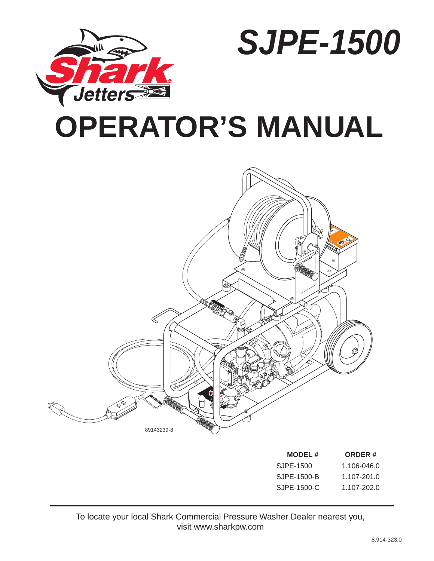

*SJPE-1500* 

# **OPERATOR'S MANUAL**



| <b>MODEL#</b> | <b>ORDER#</b>   |
|---------------|-----------------|
| SJPE-1500     | 1.106-046.0     |
| SJPE-1500-B   | 1.107-201.0     |
| SJPE-1500-C   | $1.107 - 202.0$ |

To locate your local Shark Commercial Pressure Washer Dealer nearest you, visit www.sharkpw.com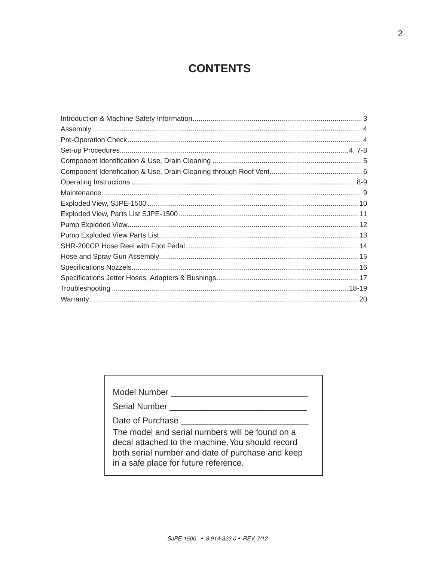# **CONTENTS**

| Model Number                                                                                                                                                                                     |
|--------------------------------------------------------------------------------------------------------------------------------------------------------------------------------------------------|
| Serial Number                                                                                                                                                                                    |
| Date of Purchase                                                                                                                                                                                 |
| The model and serial numbers will be found on a<br>decal attached to the machine. You should record<br>both serial number and date of purchase and keep<br>in a safe place for future reference. |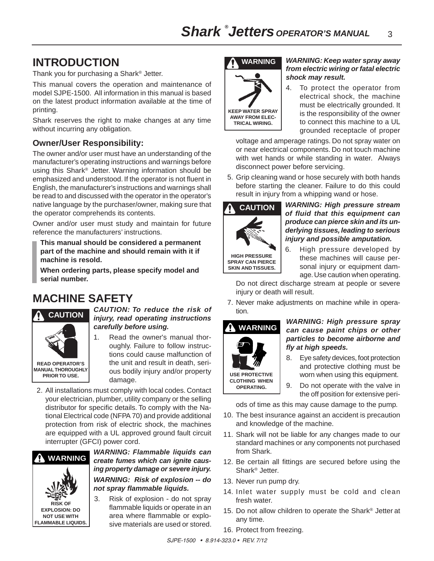# **INTRODUCTION**

Thank you for purchasing a Shark® Jetter.

This manual covers the operation and maintenance of model SJPE-1500. All information in this manual is based on the latest product information available at the time of printing.

Shark reserves the right to make changes at any time without incurring any obligation.

## **Owner/User Responsibility:**

The owner and/or user must have an understanding of the manufacturer's operating instructions and warnings before using this Shark® Jetter. Warning information should be emphasized and understood. If the operator is not fluent in English, the manufacturer's instructions and warnings shall be read to and discussed with the operator in the operator's native language by the purchaser/owner, making sure that the operator comprehends its contents.

Owner and/or user must study and maintain for future reference the manufacturers' instructions.

**This manual should be considered a permanent part of the machine and should remain with it if machine is resold.**

**When ordering parts, please specify model and serial number.**

# **MACHINE SAFETY**



#### *CAUTION: To reduce the risk of injury, read operating instructions carefully before using.*

- 1. Read the owner's manual thoroughly. Failure to follow instructions could cause malfunction of the unit and result in death, serious bodily injury and/or property damage.
- 2. All installations must comply with local codes. Contact your electrician, plumber, utility company or the selling distributor for specific details. To comply with the National Electrical code (NFPA 70) and provide additional protection from risk of electric shock, the machines are equipped with a UL approved ground fault circuit interrupter (GFCI) power cord.



*WARNING: Flammable liquids can create fumes which can ignite causing property damage or severe injury. WARNING: Risk of explosion -- do not spray flammable liquids.*

3. Risk of explosion - do not spray flammable liquids or operate in an area where flammable or explosive materials are used or stored.



### *WARNING: Keep water spray away from electric wiring or fatal electric shock may result.*

4. To protect the operator from electrical shock, the machine must be electrically grounded. It is the responsibility of the owner to connect this machine to a UL grounded receptacle of proper

 voltage and amperage ratings. Do not spray water on or near electrical components. Do not touch machine with wet hands or while standing in water. Always disconnect power before servicing.

5. Grip cleaning wand or hose securely with both hands before starting the cleaner. Failure to do this could result in injury from a whipping wand or hose.



#### *WARNING: High pressure stream of fluid that this equipment can produce can pierce skin and its underlying tissues, leading to serious injury and possible amputation.*

6. High pressure developed by these machines will cause personal injury or equipment damage. Use caution when operating.

Do not direct discharge stream at people or severe injury or death will result.

7. Never make adjustments on machine while in operation.

# **WARNING**

**USE PROTECTIVE CLOTHING WHEN OPERATING.**

#### *WARNING: High pressure spray can cause paint chips or other particles to become airborne and fly at high speeds.*

- 8. Eye safety devices, foot protection and protective clothing must be worn when using this equipment.
- 9. Do not operate with the valve in the off position for extensive peri-

ods of time as this may cause damage to the pump.

- 10. The best insurance against an accident is precaution and knowledge of the machine.
- 11. Shark will not be liable for any changes made to our standard machines or any components not purchased from Shark.
- 12. Be certain all fittings are secured before using the Shark® Jetter.
- 13. Never run pump dry.
- 14. Inlet water supply must be cold and clean fresh water.
- 15. Do not allow children to operate the Shark® Jetter at any time.
- 16. Protect from freezing.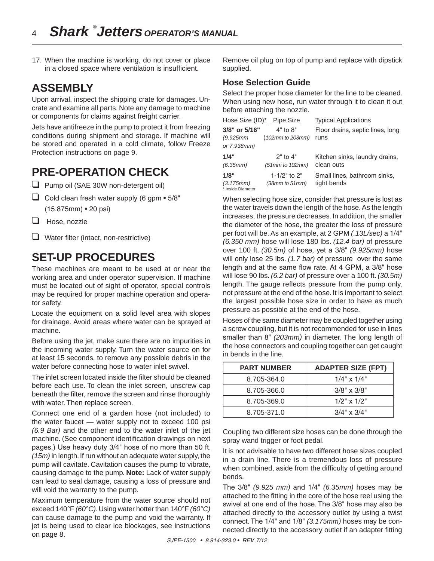17. When the machine is working, do not cover or place in a closed space where ventilation is insufficient.

# **ASSEMBLY**

Upon arrival, inspect the shipping crate for damages. Uncrate and examine all parts. Note any damage to machine or components for claims against freight carrier.

Jets have antifreeze in the pump to protect it from freezing conditions during shipment and storage. If machine will be stored and operated in a cold climate, follow Freeze Protection instructions on page 9.

# **PRE-OPERATION CHECK**

- ❑ Pump oil (SAE 30W non-detergent oil)
- $\Box$  Cold clean fresh water supply (6 gpm  $\bullet$  5/8" (15.875mm) • 20 psi)
- ❑ Hose, nozzle
- ❑ Water filter (intact, non-restrictive)

# **SET-UP PROCEDURES**

These machines are meant to be used at or near the working area and under operator supervision. If machine must be located out of sight of operator, special controls may be required for proper machine operation and operator safety.

Locate the equipment on a solid level area with slopes for drainage. Avoid areas where water can be sprayed at machine.

Before using the jet, make sure there are no impurities in the incoming water supply. Turn the water source on for at least 15 seconds, to remove any possible debris in the water before connecting hose to water inlet swivel.

The inlet screen located inside the filter should be cleaned before each use. To clean the inlet screen, unscrew cap beneath the filter, remove the screen and rinse thoroughly with water. Then replace screen.

Connect one end of a garden hose (not included) to the water faucet — water supply not to exceed 100 psi *(6.9 Bar)* and the other end to the water inlet of the jet machine. (See component identification drawings on next pages.) Use heavy duty 3/4" hose of no more than 50 ft. *(15m)* in length. If run without an adequate water supply, the pump will cavitate. Cavitation causes the pump to vibrate, causing damage to the pump. **Note:** Lack of water supply can lead to seal damage, causing a loss of pressure and will void the warranty to the pump.

Maximum temperature from the water source should not exceed 140°F *(60°C)*. Using water hotter than 140°F *(60°C)*  can cause damage to the pump and void the warranty. If jet is being used to clear ice blockages, see instructions on page 8.

Remove oil plug on top of pump and replace with dipstick supplied.

### **Hose Selection Guide**

Select the proper hose diameter for the line to be cleaned. When using new hose, run water through it to clean it out before attaching the nozzle.

|                                        | Hose Size (ID)* Pipe Size            | <b>Typical Applications</b>                  |
|----------------------------------------|--------------------------------------|----------------------------------------------|
| 3/8" or 5/16"                          | $4"$ to $8"$                         | Floor drains, septic lines, long             |
| (9.925mm                               | (102mm to 203mm)                     | runs                                         |
| or 7.938mm)                            |                                      |                                              |
| 1/4"<br>(6.35mm)                       | $2"$ to $4"$<br>$(51mm)$ to $102mm)$ | Kitchen sinks, laundry drains,<br>clean outs |
| 1/8"<br>(3.175mm)<br>* Inside Diameter | 1-1/2" to $2"$<br>(38mm to 51mm)     | Small lines, bathroom sinks,<br>tight bends  |

When selecting hose size, consider that pressure is lost as the water travels down the length of the hose. As the length increases, the pressure decreases. In addition, the smaller the diameter of the hose, the greater the loss of pressure per foot will be. As an example, at 2 GPM *(.13L/sec)* a 1/4" *(6.350 mm)* hose will lose 180 lbs. *(12.4 bar)* of pressure over 100 ft. *(30.5m)* of hose, yet a 3/8" *(9.925mm)* hose will only lose 25 lbs. *(1.7 bar)* of pressure over the same length and at the same flow rate. At 4 GPM, a 3/8" hose will lose 90 lbs. *(6.2 bar)* of pressure over a 100 ft. *(30.5m)* length. The gauge reflects pressure from the pump only, not pressure at the end of the hose. It is important to select the largest possible hose size in order to have as much pressure as possible at the end of the hose.

Hoses of the same diameter may be coupled together using a screw coupling, but it is not recommended for use in lines smaller than 8" *(203mm)* in diameter. The long length of the hose connectors and coupling together can get caught in bends in the line.

| <b>PART NUMBER</b> | <b>ADAPTER SIZE (FPT)</b> |
|--------------------|---------------------------|
| 8.705-364.0        | $1/4$ " x $1/4$ "         |
| 8.705-366.0        | $3/8" \times 3/8"$        |
| 8.705-369.0        | $1/2$ " x $1/2$ "         |
| 8.705-371.0        | $3/4" \times 3/4"$        |

Coupling two different size hoses can be done through the spray wand trigger or foot pedal.

It is not advisable to have two different hose sizes coupled in a drain line. There is a tremendous loss of pressure when combined, aside from the difficulty of getting around bends.

The 3/8" *(9.925 mm)* and 1/4" *(6.35mm)* hoses may be attached to the fitting in the core of the hose reel using the swivel at one end of the hose. The 3/8" hose may also be attached directly to the accessory outlet by using a twist connect.The 1/4" and 1/8" *(3.175mm)* hoses may be connected directly to the accessory outlet if an adapter fitting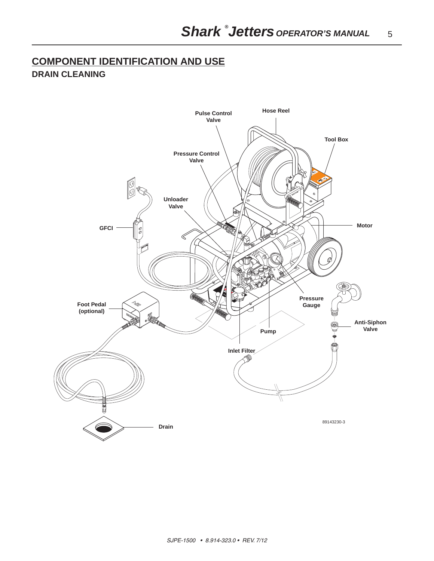## **COMPONENT IDENTIFICATION AND USE DRAIN CLEANING**

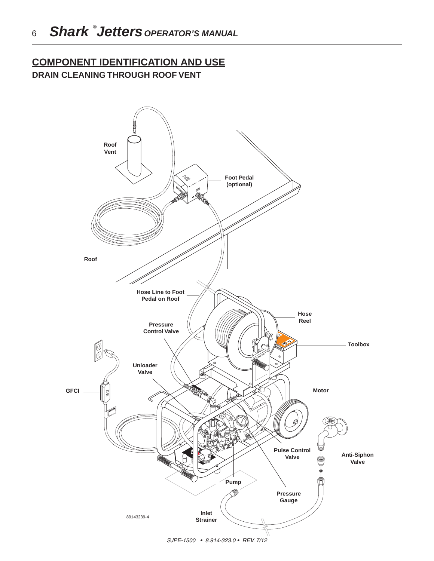## **COMPONENT IDENTIFICATION AND USE DRAIN CLEANING THROUGH ROOF VENT**



SJPE-1500 • 8.914-323.0 • REV. 7/12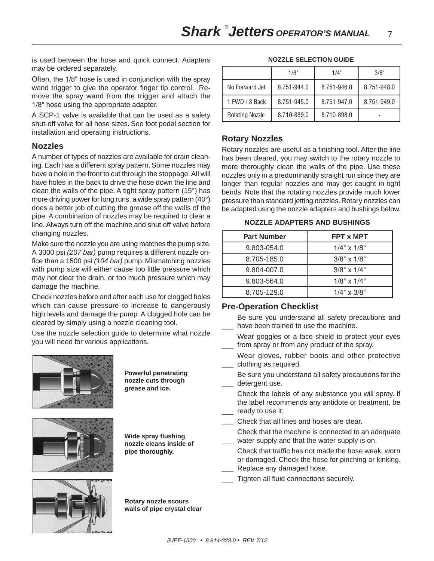is used between the hose and quick connect. Adapters may be ordered separately.

Often, the 1/8" hose is used in conjunction with the spray wand trigger to give the operator finger tip control. Remove the spray wand from the trigger and attach the 1/8" hose using the appropriate adapter.

A SCP-1 valve is available that can be used as a safety shut-off valve for all hose sizes. See foot pedal section for installation and operating instructions.

#### **Nozzles**

A number of types of nozzles are available for drain cleaning. Each has a different spray pattern. Some nozzles may have a hole in the front to cut through the stoppage. All will have holes in the back to drive the hose down the line and clean the walls of the pipe. A tight spray pattern (15°) has more driving power for long runs, a wide spray pattern (40°) does a better job of cutting the grease off the walls of the pipe. A combination of nozzles may be required to clear a line. Always turn off the machine and shut off valve before changing nozzles.

Make sure the nozzle you are using matches the pump size. A 3000 psi *(207 bar)* pump requires a different nozzle orifice than a 1500 psi *(104 bar)* pump. Mismatching nozzles with pump size will either cause too little pressure which may not clear the drain, or too much pressure which may damage the machine.

Check nozzles before and after each use for clogged holes which can cause pressure to increase to dangerously high levels and damage the pump. A clogged hole can be cleared by simply using a nozzle cleaning tool.

Use the nozzle selection guide to determine what nozzle you will need for various applications.



**Powerful penetrating nozzle cuts through grease and ice.**



**Wide spray flushing nozzle cleans inside of pipe thoroughly.**



**Rotary nozzle scours walls of pipe crystal clear**

**NOZZLE SELECTION GUIDE**

|                        | 1/8"        | 1/4"        | 3/8"        |
|------------------------|-------------|-------------|-------------|
| No Forward Jet         | 8.751-944.0 | 8.751-946.0 | 8.751-948.0 |
| 1 FWD / 3 Back         | 8.751-945.0 | 8.751-947.0 | 8.751-949.0 |
| <b>Rotating Nozzle</b> | 8.710-889.0 | 8.710-898.0 |             |

## **Rotary Nozzles**

Rotary nozzles are useful as a finishing tool. After the line has been cleared, you may switch to the rotary nozzle to more thoroughly clean the walls of the pipe. Use these nozzles only in a predominantly straight run since they are longer than regular nozzles and may get caught in tight bends. Note that the rotating nozzles provide much lower pressure than standard jetting nozzles. Rotary nozzles can be adapted using the nozzle adapters and bushings below.

**NOZZLE ADAPTERS AND BUSHINGS**

| <b>Part Number</b> | FPT x MPT          |
|--------------------|--------------------|
| 9.803-054.0        | $1/4$ " x $1/8$ "  |
| 8.705-185.0        | $3/8" \times 1/8"$ |
| 9.804-007.0        | $3/8" \times 1/4"$ |
| 9.803-564.0        | $1/8" \times 1/4"$ |
| 8.705-129.0        | $1/4" \times 3/8"$ |

## **Pre-Operation Checklist**

Be sure you understand all safety precautions and have been trained to use the machine.

- Wear goggles or a face shield to protect your eyes from spray or from any product of the spray.
- Wear gloves, rubber boots and other protective clothing as required.
- Be sure you understand all safety precautions for the detergent use.
- Check the labels of any substance you will spray. If the label recommends any antidote or treatment, be ready to use it.
- \_\_\_ Check that all lines and hoses are clear.
- Check that the machine is connected to an adequate water supply and that the water supply is on.
- Check that traffic has not made the hose weak, worn or damaged. Check the hose for pinching or kinking. Replace any damaged hose.
- Tighten all fluid connections securely.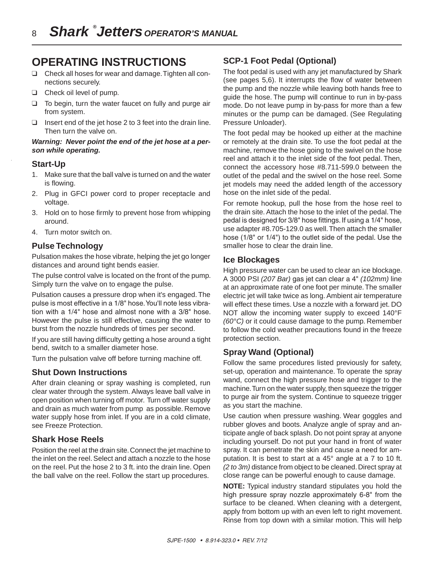# **OPERATING INSTRUCTIONS**

- ❑ Check all hoses for wear and damage. Tighten all connections securely.
- ❑ Check oil level of pump.
- ❑ To begin, turn the water faucet on fully and purge air from system.
- ❑ Insert end of the jet hose 2 to 3 feet into the drain line. Then turn the valve on.

#### *Warning: Never point the end of the jet hose at a person while operating.*

#### **Start-Up**

- 1. Make sure that the ball valve is turned on and the water is flowing.
- 2. Plug in GFCI power cord to proper receptacle and voltage.
- 3. Hold on to hose firmly to prevent hose from whipping around.
- 4. Turn motor switch on.

#### **Pulse Technology**

Pulsation makes the hose vibrate, helping the jet go longer distances and around tight bends easier.

The pulse control valve is located on the front of the pump. Simply turn the valve on to engage the pulse.

Pulsation causes a pressure drop when it's engaged. The pulse is most effective in a 1/8" hose. You'll note less vibration with a 1/4" hose and almost none with a 3/8" hose. However the pulse is still effective, causing the water to burst from the nozzle hundreds of times per second.

If you are still having difficulty getting a hose around a tight bend, switch to a smaller diameter hose.

Turn the pulsation valve off before turning machine off.

#### **Shut Down Instructions**

After drain cleaning or spray washing is completed, run clear water through the system. Always leave ball valve in open position when turning off motor. Turn off water supply and drain as much water from pump as possible. Remove water supply hose from inlet. If you are in a cold climate, see Freeze Protection.

#### **Shark Hose Reels**

Position the reel at the drain site. Connect the jet machine to the inlet on the reel. Select and attach a nozzle to the hose on the reel. Put the hose 2 to 3 ft. into the drain line. Open the ball valve on the reel. Follow the start up procedures.

## **SCP-1 Foot Pedal (Optional)**

The foot pedal is used with any jet manufactured by Shark (see pages 5,6). It interrupts the flow of water between the pump and the nozzle while leaving both hands free to guide the hose. The pump will continue to run in by-pass mode. Do not leave pump in by-pass for more than a few minutes or the pump can be damaged. (See Regulating Pressure Unloader).

The foot pedal may be hooked up either at the machine or remotely at the drain site. To use the foot pedal at the machine, remove the hose going to the swivel on the hose reel and attach it to the inlet side of the foot pedal. Then, connect the accessory hose #8.711-599.0 between the outlet of the pedal and the swivel on the hose reel. Some jet models may need the added length of the accessory hose on the inlet side of the pedal.

For remote hookup, pull the hose from the hose reel to the drain site. Attach the hose to the inlet of the pedal. The pedal is designed for 3/8" hose fittings. If using a 1/4" hose, use adapter #8.705-129.0 as well. Then attach the smaller hose (1/8" or 1/4") to the outlet side of the pedal. Use the smaller hose to clear the drain line.

### **Ice Blockages**

High pressure water can be used to clear an ice blockage. A 3000 PSI *(207 Bar)* gas jet can clear a 4" *(102mm)* line at an approximate rate of one foot per minute. The smaller electric jet will take twice as long. Ambient air temperature will effect these times. Use a nozzle with a forward jet. DO NOT allow the incoming water supply to exceed 140°F *(60°C)* or it could cause damage to the pump. Remember to follow the cold weather precautions found in the freeze protection section.

## **Spray Wand (Optional)**

Follow the same procedures listed previously for safety, set-up, operation and maintenance. To operate the spray wand, connect the high pressure hose and trigger to the machine. Turn on the water supply, then squeeze the trigger to purge air from the system. Continue to squeeze trigger as you start the machine.

Use caution when pressure washing. Wear goggles and rubber gloves and boots. Analyze angle of spray and anticipate angle of back splash. Do not point spray at anyone including yourself. Do not put your hand in front of water spray. It can penetrate the skin and cause a need for amputation. It is best to start at a 45° angle at a 7 to 10 ft. *(2 to 3m)* distance from object to be cleaned. Direct spray at close range can be powerful enough to cause damage.

**NOTE:** Typical industry standard stipulates you hold the high pressure spray nozzle approximately 6-8" from the surface to be cleaned. When cleaning with a detergent, apply from bottom up with an even left to right movement. Rinse from top down with a similar motion. This will help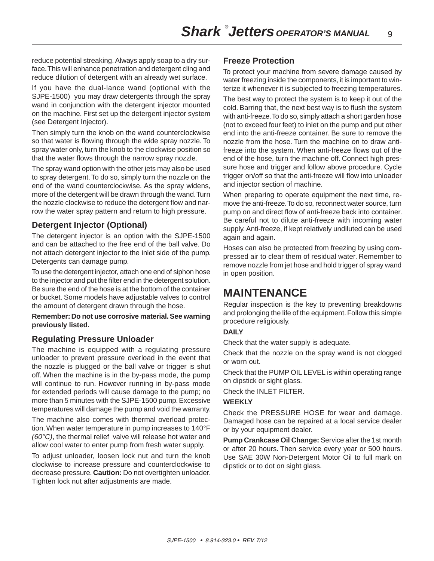reduce potential streaking. Always apply soap to a dry surface. This will enhance penetration and detergent cling and reduce dilution of detergent with an already wet surface.

If you have the dual-lance wand (optional with the SJPE-1500) you may draw detergents through the spray wand in conjunction with the detergent injector mounted on the machine. First set up the detergent injector system (see Detergent Injector).

Then simply turn the knob on the wand counterclockwise so that water is flowing through the wide spray nozzle. To spray water only, turn the knob to the clockwise position so that the water flows through the narrow spray nozzle.

The spray wand option with the other jets may also be used to spray detergent. To do so, simply turn the nozzle on the end of the wand counterclockwise. As the spray widens, more of the detergent will be drawn through the wand. Turn the nozzle clockwise to reduce the detergent flow and narrow the water spray pattern and return to high pressure.

## **Detergent Injector (Optional)**

The detergent injector is an option with the SJPE-1500 and can be attached to the free end of the ball valve. Do not attach detergent injector to the inlet side of the pump. Detergents can damage pump.

To use the detergent injector, attach one end of siphon hose to the injector and put the filter end in the detergent solution. Be sure the end of the hose is at the bottom of the container or bucket. Some models have adjustable valves to control the amount of detergent drawn through the hose.

#### **Remember: Do not use corrosive material. See warning previously listed.**

#### **Regulating Pressure Unloader**

The machine is equipped with a regulating pressure unloader to prevent pressure overload in the event that the nozzle is plugged or the ball valve or trigger is shut off. When the machine is in the by-pass mode, the pump will continue to run. However running in by-pass mode for extended periods will cause damage to the pump; no more than 5 minutes with the SJPE-1500 pump. Excessive temperatures will damage the pump and void the warranty.

The machine also comes with thermal overload protection. When water temperature in pump increases to 140°F *(60°C)*, the thermal relief valve will release hot water and allow cool water to enter pump from fresh water supply.

To adjust unloader, loosen lock nut and turn the knob clockwise to increase pressure and counterclockwise to decrease pressure. **Caution:** Do not overtighten unloader. Tighten lock nut after adjustments are made.

#### **Freeze Protection**

To protect your machine from severe damage caused by water freezing inside the components, it is important to winterize it whenever it is subjected to freezing temperatures.

The best way to protect the system is to keep it out of the cold. Barring that, the next best way is to flush the system with anti-freeze. To do so, simply attach a short garden hose (not to exceed four feet) to inlet on the pump and put other end into the anti-freeze container. Be sure to remove the nozzle from the hose. Turn the machine on to draw antifreeze into the system. When anti-freeze flows out of the end of the hose, turn the machine off. Connect high pressure hose and trigger and follow above procedure. Cycle trigger on/off so that the anti-freeze will flow into unloader and injector section of machine.

When preparing to operate equipment the next time, remove the anti-freeze. To do so, reconnect water source, turn pump on and direct flow of anti-freeze back into container. Be careful not to dilute anti-freeze with incoming water supply. Anti-freeze, if kept relatively undiluted can be used again and again.

Hoses can also be protected from freezing by using compressed air to clear them of residual water. Remember to remove nozzle from jet hose and hold trigger of spray wand in open position.

# **MAINTENANCE**

Regular inspection is the key to preventing breakdowns and prolonging the life of the equipment. Follow this simple procedure religiously.

#### **DAILY**

Check that the water supply is adequate.

Check that the nozzle on the spray wand is not clogged or worn out.

Check that the PUMP OIL LEVEL is within operating range on dipstick or sight glass.

Check the INLET FILTER.

#### **WEEKLY**

Check the PRESSURE HOSE for wear and damage. Damaged hose can be repaired at a local service dealer or by your equipment dealer.

**Pump Crankcase Oil Change:** Service after the 1st month or after 20 hours. Then service every year or 500 hours. Use SAE 30W Non-Detergent Motor Oil to full mark on dipstick or to dot on sight glass.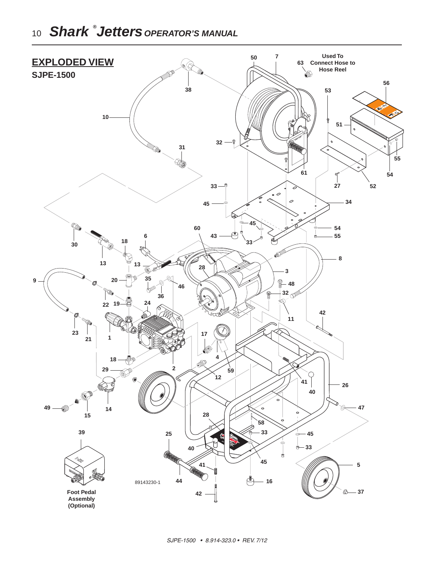# *Shark ® Jetters OPERATOR'S MANUAL*

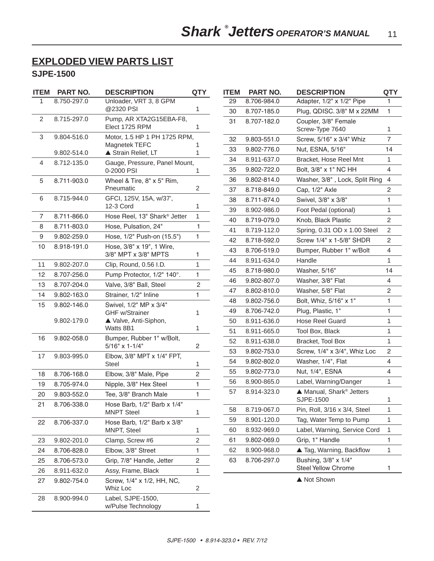## **EXPLODED VIEW PARTS LIST**

## **SJPE-1500**

| <b>ITEM</b>      | PART NO.    | <b>DESCRIPTION</b>                                | <b>QTY</b>     | <b>ITEM</b> | PART NO.    | <b>DESCRIPTION</b>                          | <b>QTY</b>     |
|------------------|-------------|---------------------------------------------------|----------------|-------------|-------------|---------------------------------------------|----------------|
| $\mathbf{1}$     | 8.750-297.0 | Unloader, VRT 3, 8 GPM                            |                | 29          | 8.706-984.0 | Adapter, 1/2" x 1/2" Pipe                   | 1.             |
|                  |             | @2320 PSI                                         | 1              | 30          | 8.707-185.0 | Plug, QDISC. 3/8" M x 22MM                  | 1              |
| 2                | 8.715-297.0 | Pump, AR XTA2G15EBA-F8,<br>Elect 1725 RPM         | 1.             | 31          | 8.707-182.0 | Coupler, 3/8" Female<br>Screw-Type 7640     | 1              |
| 3                | 9.804-516.0 | Motor, 1.5 HP 1 PH 1725 RPM,                      |                | 32          | 9.803-551.0 | Screw, 5/16" x 3/4" Whiz                    | $\overline{7}$ |
|                  | 9.802-514.0 | Magnetek TEFC<br>▲ Strain Relief, LT              | 1              | 33          | 9.802-776.0 | Nut, ESNA, 5/16"                            | 14             |
| 4                | 8.712-135.0 | Gauge, Pressure, Panel Mount,                     |                | 34          | 8.911-637.0 | Bracket, Hose Reel Mnt                      | 1              |
|                  |             | 0-2000 PSI                                        | 1              | 35          | 9.802-722.0 | Bolt, 3/8" x 1" NC HH                       | 4              |
| 5                | 8.711-903.0 | Wheel & Tire, 8" x 5" Rim,                        |                | 36          | 9.802-814.0 | Washer, 3/8", Lock, Split Ring              | 4              |
|                  |             | Pneumatic                                         | $\overline{2}$ | 37          | 8.718-849.0 | Cap, 1/2" Axle                              | 2              |
| 6                | 8.715-944.0 | GFCI, 125V, 15A, w/37',                           |                | 38          | 8.711-874.0 | Swivel, 3/8" x 3/8"                         | 1              |
|                  |             | 12-3 Cord                                         | 1              | 39          | 8.902-986.0 | Foot Pedal (optional)                       | 1              |
| $\overline{7}$   | 8.711-866.0 | Hose Reel, 13" Shark® Jetter                      | $\mathbf{1}$   | 40          | 8.719-079.0 | Knob, Black Plastic                         | $\overline{2}$ |
| 8                | 8.711-803.0 | Hose, Pulsation, 24"                              | 1.             | 41          | 8.719-112.0 | Spring, 0.31 OD x 1.00 Steel                | 2              |
| $\boldsymbol{9}$ | 9.802-259.0 | Hose, 1/2" Push-on (15.5")                        | 1              | 42          | 8.718-592.0 | Screw 1/4" x 1-5/8" SHDR                    | 2              |
| 10               | 8.918-191.0 | Hose, 3/8" x 19", 1 Wire,<br>3/8" MPT x 3/8" MPTS | 1              | 43          | 8.706-519.0 | Bumper, Rubber 1" w/Bolt                    | 4              |
| 11               | 9.802-207.0 | Clip, Round, 0.56 I.D.                            | 1              | 44          | 8.911-634.0 | Handle                                      | 1              |
| 12               | 8.707-256.0 | Pump Protector, 1/2" 140°.                        | 1              | 45          | 8.718-980.0 | Washer, 5/16"                               | 14             |
| 13               | 8.707-204.0 | Valve, 3/8" Ball, Steel                           | $\sqrt{2}$     | 46          | 9.802-807.0 | Washer, 3/8" Flat                           | 4              |
| 14               | 9.802-163.0 |                                                   | 1              | 47          | 8.802-810.0 | Washer, 5/8" Flat                           | 2              |
| 15               | 9.802-146.0 | Strainer, 1/2" Inline<br>Swivel, 1/2" MP x 3/4"   |                | 48          | 9.802-756.0 | Bolt, Whiz, 5/16" x 1"                      | 1              |
|                  |             | <b>GHF w/Strainer</b>                             | 1              | 49          | 8.706-742.0 | Plug, Plastic, 1"                           | 1              |
|                  | 9.802-179.0 | ▲ Valve, Anti-Siphon,                             |                | 50          | 8.911-636.0 | Hose Reel Guard                             | 1              |
|                  |             | Watts 8B1                                         | 1              | 51          | 8.911-665.0 | Tool Box, Black                             | 1              |
| 16               | 9.802-058.0 | Bumper, Rubber 1" w/Bolt,                         |                | 52          | 8.911-638.0 | Bracket, Tool Box                           | 1              |
|                  |             | $5/16"$ x 1-1/4"                                  | 2              | 53          | 9.802-753.0 | Screw, 1/4" x 3/4", Whiz Loc                | 2              |
| 17               | 9.803-995.0 | Elbow, 3/8" MPT x 1/4" FPT,<br>Steel              | 1              | 54          | 9.802-802.0 | Washer, 1/4", Flat                          | 4              |
| 18               | 8.706-168.0 | Elbow, 3/8" Male, Pipe                            | 2              | 55          | 9.802-773.0 | Nut, 1/4", ESNA                             | 4              |
| 19               | 8.705-974.0 | Nipple, 3/8" Hex Steel                            | 1              | 56          | 8.900-865.0 | Label, Warning/Danger                       | 1              |
| 20               | 9.803-552.0 | Tee, 3/8" Branch Male                             | 1              | 57          | 8.914-323.0 | ▲ Manual, Shark <sup>®</sup> Jetters        |                |
| 21               | 8.706-338.0 | Hose Barb, 1/2" Barb x 1/4"                       |                |             |             | SJPE-1500                                   | 1              |
|                  |             | <b>MNPT Steel</b>                                 | 1              | 58          | 8.719-067.0 | Pin, Roll, 3/16 x 3/4, Steel                | 1              |
| 22               | 8.706-337.0 | Hose Barb, 1/2" Barb x 3/8"                       |                | 59          | 8.901-120.0 | Tag, Water Temp to Pump                     | 1              |
|                  |             | MNPT, Steel                                       | 1              | 60          | 8.932-969.0 | Label, Warning, Service Cord                | 1              |
| 23               | 9.802-201.0 | Clamp, Screw #6                                   | $\overline{c}$ | 61          | 9.802-069.0 | Grip, 1" Handle                             | 1              |
| 24               | 8.706-828.0 | Elbow, 3/8" Street                                | 1              | 62          | 8.900-968.0 | ▲ Tag, Warning, Backflow                    | 1              |
| 25               | 8.706-573.0 | Grip, 7/8" Handle, Jetter                         | 2              | 63          | 8.706-297.0 | Bushing, 3/8" x 1/4"<br>Steel Yellow Chrome |                |
| 26               | 8.911-632.0 | Assy, Frame, Black                                | 1              |             |             |                                             | 1              |
| 27               | 9.802-754.0 | Screw, 1/4" x 1/2, HH, NC,<br>Whiz Loc            | 2              |             |             | ▲ Not Shown                                 |                |
| 28               | 8.900-994.0 | Label, SJPE-1500,<br>w/Pulse Technology           |                |             |             |                                             |                |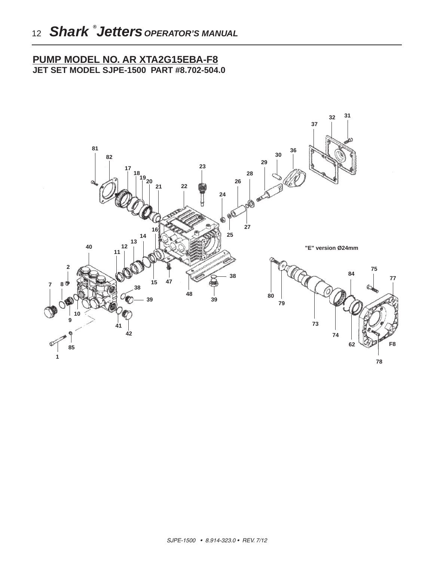## **PUMP MODEL NO. AR XTA2G15EBA-F8 JET SET MODEL SJPE-1500 PART #8.702-504.0**

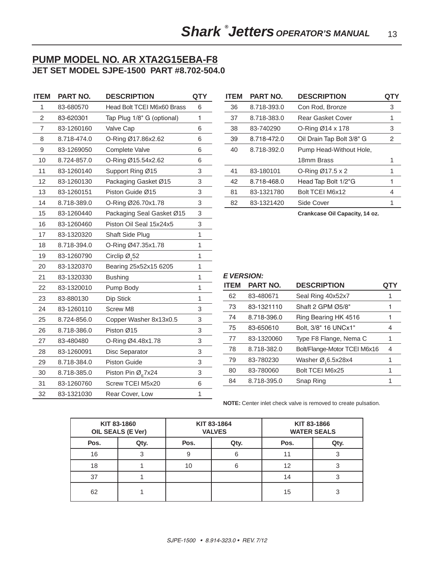## **PUMP MODEL NO. AR XTA2G15EBA-F8 JET SET MODEL SJPE-1500 PART #8.702-504.0**

| <b>ITEM</b>    | PART NO.    | <b>DESCRIPTION</b>                         | <b>QTY</b> |
|----------------|-------------|--------------------------------------------|------------|
| 1              | 83-680570   | Head Bolt TCEI M6x60 Brass                 | 6          |
| $\overline{c}$ | 83-620301   | Tap Plug 1/8" G (optional)                 | 1          |
| 7              | 83-1260160  | Valve Cap                                  | 6          |
| 8              | 8.718-474.0 | O-Ring Ø17.86x2.62                         | 6          |
| 9              | 83-1269050  | <b>Complete Valve</b>                      | 6          |
| 10             | 8.724-857.0 | O-Ring Ø15.54x2.62                         | 6          |
| 11             | 83-1260140  | Support Ring Ø15                           | 3          |
| 12             | 83-1260130  | Packaging Gasket Ø15                       | 3          |
| 13             | 83-1260151  | Piston Guide Ø15                           | 3          |
| 14             | 8.718-389.0 | O-Ring Ø26.70x1.78                         | 3          |
| 15             | 83-1260440  | Packaging Seal Gasket Ø15                  | 3          |
| 16             | 83-1260460  | Piston Oil Seal 15x24x5                    | 3          |
| 17             | 83-1320320  | Shaft Side Plug                            | 1          |
| 18             | 8.718-394.0 | O-Ring Ø47.35x1.78                         | 1          |
| 19             | 83-1260790  | Circlip $\varnothing$ <sub>1</sub> 52      | 1          |
| 20             | 83-1320370  | Bearing 25x52x15 6205                      | 1          |
| 21             | 83-1320330  | <b>Bushing</b>                             | 1          |
| 22             | 83-1320010  | Pump Body                                  | 1          |
| 23             | 83-880130   | Dip Stick                                  | 1          |
| 24             | 83-1260110  | <b>Screw M8</b>                            | 3          |
| 25             | 8.724-856.0 | Copper Washer 8x13x0.5                     | 3          |
| 26             | 8.718-386.0 | Piston Ø15                                 | 3          |
| 27             | 83-480480   | O-Ring Ø4.48x1.78                          | 3          |
| 28             | 83-1260091  | Disc Separator                             | 3          |
| 29             | 8.718-384.0 | <b>Piston Guide</b>                        | 3          |
| 30             | 8.718-385.0 | Piston Pin $\varnothing$ <sub>F</sub> 7x24 | 3          |
| 31             | 83-1260760  | Screw TCEI M5x20                           | 6          |
| 32             | 83-1321030  | Rear Cover, Low                            | 1          |

| <b>ITEM</b> | <b>PART NO.</b> | <b>DESCRIPTION</b>        | QTY |
|-------------|-----------------|---------------------------|-----|
| 36          | 8.718-393.0     | Con Rod, Bronze           | 3   |
| 37          | 8.718-383.0     | Rear Gasket Cover         | 1   |
| 38          | 83-740290       | O-Ring $Ø14 \times 178$   | 3   |
| 39          | 8.718-472.0     | Oil Drain Tap Bolt 3/8" G | 2   |
| 40          | 8.718-392.0     | Pump Head-Without Hole,   |     |
|             |                 | 18mm Brass                | 1   |
| 41          | 83-180101       | O-Ring Ø17.5 x 2          | 1   |
| 42          | 8.718-468.0     | Head Tap Bolt 1/2"G       | 1   |
| 81          | 83-1321780      | Bolt TCEI M6x12           | 4   |
| 82          | 83-1321420      | Side Cover                |     |
|             |                 |                           |     |

**Crankcase Oil Capacity, 14 oz.**

#### *E VERSION:*

| <b>ITEM</b> | <b>PART NO.</b> | <b>DESCRIPTION</b>           | QTY |
|-------------|-----------------|------------------------------|-----|
| 62          | 83-480671       | Seal Ring 40x52x7            | 1   |
| 73          | 83-1321110      | Shaft 2 GPM Ø5/8"            | 1   |
| 74          | 8.718-396.0     | Ring Bearing HK 4516         | 1   |
| 75          | 83-650610       | Bolt, 3/8" 16 UNCx1"         | 4   |
| 77          | 83-1320060      | Type F8 Flange, Nema C       | 1   |
| 78          | 8.718-382.0     | Bolt/Flange-Motor TCEI M6x16 | 4   |
| 79          | 83-780230       | Washer Ø,6.5x28x4            | 1   |
| 80          | 83-780060       | Bolt TCEI M6x25              | 1   |
| 84          | 8.718-395.0     | Snap Ring                    | 1   |

**NOTE:** Center inlet check valve is removed to create pulsation.

| KIT 83-1860<br>OIL SEALS (E Ver) |      | KIT 83-1864<br><b>VALVES</b> |      | KIT 83-1866 | <b>WATER SEALS</b> |
|----------------------------------|------|------------------------------|------|-------------|--------------------|
| Pos.                             | Qty. | Pos.                         | Qty. | Pos.        | Qty.               |
| 16                               |      | 9                            | 6    |             |                    |
| 18                               |      | 10                           | 6    | 12          |                    |
| 37                               |      |                              |      | 14          |                    |
| 62                               |      |                              |      | 15          | 3                  |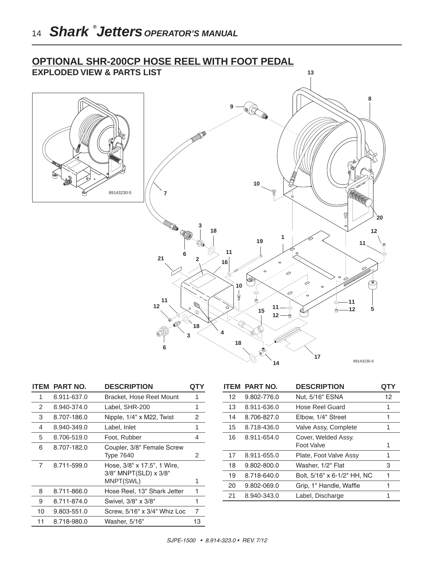



|    | <b>ITEM PART NO.</b> | <b>DESCRIPTION</b>                                                   | QT |
|----|----------------------|----------------------------------------------------------------------|----|
| 1  | 8.911-637.0          | Bracket, Hose Reel Mount                                             | 1  |
| 2  | 8.940-374.0          | Label, SHR-200                                                       | 1  |
| 3  | 8.707-186.0          | Nipple, 1/4" x M22, Twist                                            | 2  |
| 4  | 8.940-349.0          | Label, Inlet                                                         | 1  |
| 5  | 8.706-519.0          | Foot, Rubber                                                         | 4  |
| 6  | 8.707-182.0          | Coupler, 3/8" Female Screw<br>Type 7640                              | 2  |
| 7  | 8.711-599.0          | Hose, $3/8$ " x 17.5", 1 Wire,<br>3/8" MNPT(SLD) x 3/8"<br>MNPT(SWL) | 1  |
| 8  | 8.711-866.0          | Hose Reel, 13" Shark Jetter                                          | 1  |
| 9  | 8.711-874.0          | Swivel, 3/8" x 3/8"                                                  | 1  |
| 10 | 9.803-551.0          | Screw, 5/16" x 3/4" Whiz Loc                                         | 7  |
| 11 | 8.718-980.0          | Washer, 5/16"                                                        | 13 |

| <b>ITEM</b> | <b>PART NO.</b> | <b>DESCRIPTION</b>                | QTY |
|-------------|-----------------|-----------------------------------|-----|
| 12          | 9.802-776.0     | Nut, 5/16" ESNA                   | 12  |
| 13          | 8.911-636.0     | Hose Reel Guard                   | 1   |
| 14          | 8.706-827.0     | Elbow, 1/4" Street                | 1   |
| 15          | 8.718-436.0     | Valve Assy, Complete              | 1   |
| 16          | 8.911-654.0     | Cover, Welded Assy.<br>Foot Valve | 1   |
| 17          | 8.911-655.0     | Plate, Foot Valve Assy            | 1   |
| 18          | 9.802-800.0     | Washer, 1/2" Flat                 | З   |
| 19          | 8.718-640.0     | Bolt, 5/16" x 6-1/2" HH, NC       | 1   |
| 20          | 9.802-069.0     | Grip, 1" Handle, Waffle           | 1   |
| 21          | 8.940-343.0     | Label, Discharge                  | 1   |
|             |                 |                                   |     |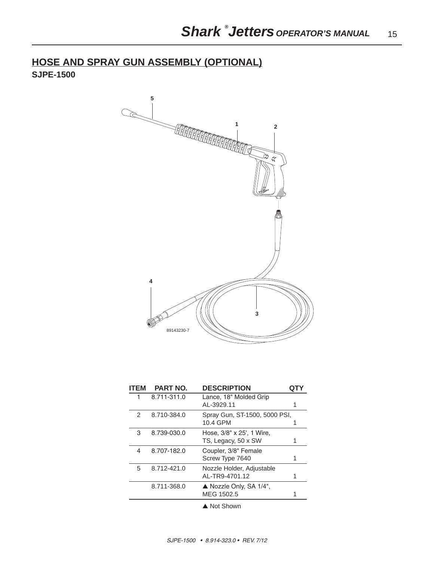**HOSE AND SPRAY GUN ASSEMBLY (OPTIONAL) SJPE-1500** 



| <b>ITEM</b> | <b>PART NO.</b> | <b>DESCRIPTION</b>                               |   |
|-------------|-----------------|--------------------------------------------------|---|
| 1           | 8.711-311.0     | Lance, 18" Molded Grip<br>AL-3929.11             |   |
| 2           | 8.710-384.0     | Spray Gun, ST-1500, 5000 PSI,<br>10.4 GPM        |   |
| 3           | 8.739-030.0     | Hose, 3/8" x 25', 1 Wire,<br>TS, Legacy, 50 x SW |   |
| 4           | 8.707-182.0     | Coupler, 3/8" Female<br>Screw Type 7640          |   |
| 5           | 8.712-421.0     | Nozzle Holder, Adjustable<br>AL-TR9-4701.12      | 1 |
|             | 8.711-368.0     | Nozzle Only, SA 1/4",<br>MEG 1502.5              |   |
|             |                 |                                                  |   |

▲ Not Shown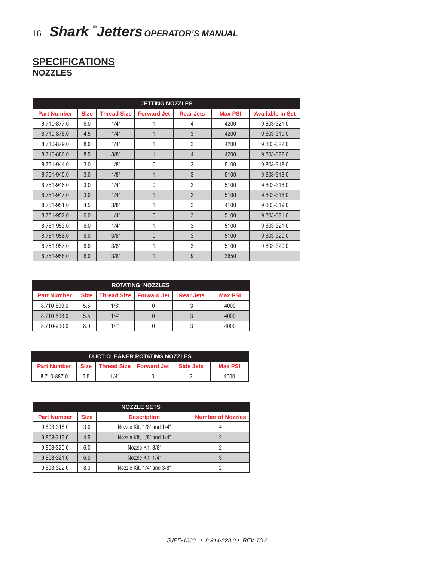## **SPECIFICATIONS NOZZLES**

| <b>JETTING NOZZLES</b> |             |                    |                    |                  |                |                         |
|------------------------|-------------|--------------------|--------------------|------------------|----------------|-------------------------|
| <b>Part Number</b>     | <b>Size</b> | <b>Thread Size</b> | <b>Forward Jet</b> | <b>Rear Jets</b> | <b>Max PSI</b> | <b>Available In Set</b> |
| 8.710-877.0            | 6.0         | 1/4"               | 1                  | 4                | 4200           | 9.803-321.0             |
| 8.710-878.0            | 4.5         | $1/4$ "            | 1                  | 3                | 4200           | 9.803-319.0             |
| 8.710-879.0            | 8.0         | 1/4"               | 1                  | 3                | 4200           | 9.803-322.0             |
| 8.710-886.0            | 8.5         | 3/8"               | $\mathbf{1}$       | $\overline{4}$   | 4200           | 9.803-322.0             |
| 8.751-944.0            | 3.0         | $1/8$ "            | $\mathbf{0}$       | 3                | 5100           | 9.803-318.0             |
| 8.751-945.0            | 3.0         | 1/8"               | $\mathbf{1}$       | 3                | 5100           | 9.803-318.0             |
| 8.751-946.0            | 3.0         | $1/4$ "            | $\mathbf 0$        | 3                | 5100           | 9.803-318.0             |
| 8.751-947.0            | 3.0         | $1/4$ "            | 1                  | 3                | 5100           | 9.803-318.0             |
| 8.751-951.0            | 4.5         | 3/8"               | 1                  | 3                | 4100           | 9.803-319.0             |
| 8.751-952.0            | 6.0         | $1/4$ "            | $\mathbf{0}$       | 3                | 5100           | 9.803-321.0             |
| 8.751-953.0            | 6.0         | 1/4"               | 1                  | 3                | 5100           | 9.803-321.0             |
| 8.751-956.0            | 6.0         | 3/8"               | $\mathbf{0}$       | 3                | 5100           | 9.803-320.0             |
| 8.751-957.0            | 6.0         | 3/8"               | 1                  | 3                | 5100           | 9.803-320.0             |
| 8.751-958.0            | 6.0         | 3/8"               | $\mathbf{1}$       | 9                | 3650           |                         |

| <b>ROTATING NOZZLES</b> |             |                      |                    |                  |                |
|-------------------------|-------------|----------------------|--------------------|------------------|----------------|
| <b>Part Number</b>      | <b>Size</b> | <b>Thread Size 1</b> | <b>Forward Jet</b> | <b>Rear Jets</b> | <b>Max PSI</b> |
| 8.710-899.0             | 5.5         | 1/8"                 |                    |                  | 4000           |
| 8.710-898.0             | 5.5         | 1/4"                 |                    |                  | 4000           |
| 8.710-900.0             | 8.0         | 1/4"                 |                    |                  | 4000           |

| <b>DUCT CLEANER ROTATING NOZZLES</b> |     |      |                                  |           |                |
|--------------------------------------|-----|------|----------------------------------|-----------|----------------|
| <b>Part Number</b>                   |     |      | Size   Thread Size   Forward Jet | Side Jets | <b>Max PSI</b> |
| 8.710-887.0                          | 5.5 | 1/4" |                                  |           | 4000           |

|                    |             | <b>NOZZLE SETS</b>        |                          |
|--------------------|-------------|---------------------------|--------------------------|
| <b>Part Number</b> | <b>Size</b> | <b>Description</b>        | <b>Number of Nozzles</b> |
| 9.803-318.0        | 3.0         | Nozzle Kit, 1/8" and 1/4" |                          |
| 9.803-319.0        | 4.5         | Nozzle Kit, 1/8" and 1/4" |                          |
| 9.803-320.0        | 6.0         | Nozzle Kit, 3/8"          |                          |
| 9.803-321.0        | 6.0         | Nozzle Kit, 1/4"          |                          |
| 9.803-322.0        | 8.0         | Nozzle Kit, 1/4" and 3/8" |                          |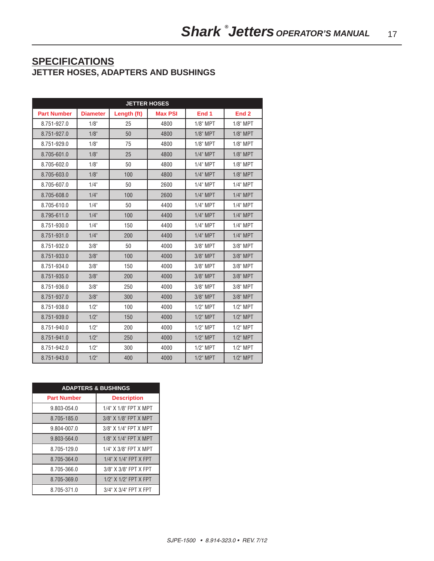## **SPECIFICATIONS JETTER HOSES, ADAPTERS AND BUSHINGS**

| <b>JETTER HOSES</b> |                 |             |                |             |                  |
|---------------------|-----------------|-------------|----------------|-------------|------------------|
| <b>Part Number</b>  | <b>Diameter</b> | Length (ft) | <b>Max PSI</b> | End 1       | End <sub>2</sub> |
| 8.751-927.0         | 1/8"            | 25          | 4800           | $1/8$ " MPT | $1/8$ " MPT      |
| 8.751-927.0         | 1/8"            | 50          | 4800           | $1/8$ " MPT | $1/8$ " MPT      |
| 8.751-929.0         | 1/8"            | 75          | 4800           | $1/8$ " MPT | $1/8$ " MPT      |
| 8.705-601.0         | 1/8"            | 25          | 4800           | $1/4$ " MPT | $1/8$ " MPT      |
| 8.705-602.0         | 1/8"            | 50          | 4800           | $1/4$ " MPT | $1/8$ " MPT      |
| 8.705-603.0         | 1/8"            | 100         | 4800           | $1/4$ " MPT | $1/8$ " MPT      |
| 8.705-607.0         | 1/4"            | 50          | 2600           | $1/4$ " MPT | $1/4$ " MPT      |
| 8.705-608.0         | $1/4$ "         | 100         | 2600           | $1/4$ " MPT | $1/4$ " MPT      |
| 8.705-610.0         | 1/4"            | 50          | 4400           | $1/4$ " MPT | $1/4$ " MPT      |
| 8.795-611.0         | $1/4$ "         | 100         | 4400           | $1/4$ " MPT | $1/4$ " MPT      |
| 8.751-930.0         | $1/4$ "         | 150         | 4400           | $1/4$ " MPT | $1/4$ " MPT      |
| 8.751-931.0         | $1/4$ "         | 200         | 4400           | $1/4$ " MPT | $1/4$ " MPT      |
| 8.751-932.0         | 3/8"            | 50          | 4000           | 3/8" MPT    | 3/8" MPT         |
| 8.751-933.0         | 3/8"            | 100         | 4000           | 3/8" MPT    | 3/8" MPT         |
| 8.751-934.0         | 3/8"            | 150         | 4000           | 3/8" MPT    | 3/8" MPT         |
| 8.751-935.0         | 3/8"            | 200         | 4000           | 3/8" MPT    | 3/8" MPT         |
| 8.751-936.0         | 3/8"            | 250         | 4000           | 3/8" MPT    | $3/8$ " MPT      |
| 8.751-937.0         | 3/8"            | 300         | 4000           | 3/8" MPT    | 3/8" MPT         |
| 8.751-938.0         | $1/2$ "         | 100         | 4000           | $1/2$ " MPT | $1/2$ " MPT      |
| 8.751-939.0         | $1/2$ "         | 150         | 4000           | $1/2$ " MPT | $1/2$ " MPT      |
| 8.751-940.0         | $1/2$ "         | 200         | 4000           | $1/2$ " MPT | $1/2$ " MPT      |
| 8.751-941.0         | $1/2$ "         | 250         | 4000           | $1/2$ " MPT | $1/2$ " MPT      |
| 8.751-942.0         | $1/2$ "         | 300         | 4000           | $1/2$ " MPT | $1/2$ " MPT      |
| 8.751-943.0         | $1/2$ "         | 400         | 4000           | $1/2$ " MPT | $1/2$ " MPT      |

| <b>ADAPTERS &amp; BUSHINGS</b> |                                 |  |  |  |
|--------------------------------|---------------------------------|--|--|--|
| <b>Part Number</b>             | <b>Description</b>              |  |  |  |
| 9.803-054.0                    | $1/4"$ X $1/8"$ FPT X MPT       |  |  |  |
| 8.705-185.0                    | 3/8" X 1/8" FPT X MPT           |  |  |  |
| 9.804-007.0                    | 3/8" X 1/4" FPT X MPT           |  |  |  |
| 9.803-564.0                    | $1/8"$ X $1/4"$ FPT X MPT       |  |  |  |
| 8.705-129.0                    | 1/4" X 3/8" FPT X MPT           |  |  |  |
| 8.705-364.0                    | $1/4$ " $X$ $1/4$ " FPT $X$ FPT |  |  |  |
| 8.705-366.0                    | 3/8" X 3/8" FPT X FPT           |  |  |  |
| 8.705-369.0                    | 1/2" X 1/2" FPT X FPT           |  |  |  |
| 8.705-371.0                    | 3/4" X 3/4" FPT X FPT           |  |  |  |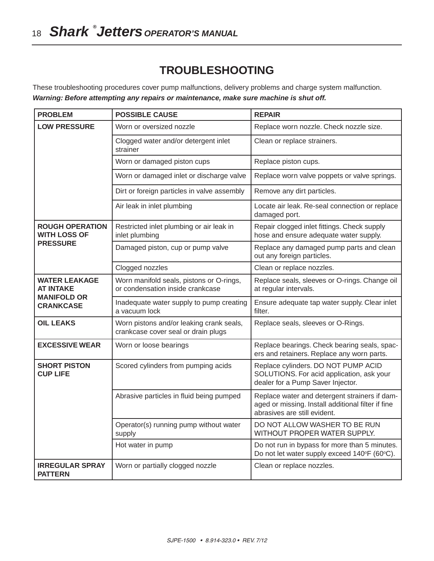# **TROUBLESHOOTING**

These troubleshooting procedures cover pump malfunctions, delivery problems and charge system malfunction. *Warning: Before attempting any repairs or maintenance, make sure machine is shut off.*

| <b>PROBLEM</b>                                | <b>POSSIBLE CAUSE</b>                                                           | <b>REPAIR</b>                                                                                                                       |
|-----------------------------------------------|---------------------------------------------------------------------------------|-------------------------------------------------------------------------------------------------------------------------------------|
| <b>LOW PRESSURE</b>                           | Worn or oversized nozzle                                                        | Replace worn nozzle. Check nozzle size.                                                                                             |
|                                               | Clogged water and/or detergent inlet<br>strainer                                | Clean or replace strainers.                                                                                                         |
|                                               | Worn or damaged piston cups                                                     | Replace piston cups.                                                                                                                |
|                                               | Worn or damaged inlet or discharge valve                                        | Replace worn valve poppets or valve springs.                                                                                        |
|                                               | Dirt or foreign particles in valve assembly                                     | Remove any dirt particles.                                                                                                          |
|                                               | Air leak in inlet plumbing                                                      | Locate air leak. Re-seal connection or replace<br>damaged port.                                                                     |
| <b>ROUGH OPERATION</b><br><b>WITH LOSS OF</b> | Restricted inlet plumbing or air leak in<br>inlet plumbing                      | Repair clogged inlet fittings. Check supply<br>hose and ensure adequate water supply.                                               |
| <b>PRESSURE</b>                               | Damaged piston, cup or pump valve                                               | Replace any damaged pump parts and clean<br>out any foreign particles.                                                              |
|                                               | Clogged nozzles                                                                 | Clean or replace nozzles.                                                                                                           |
| <b>WATER LEAKAGE</b><br><b>AT INTAKE</b>      | Worn manifold seals, pistons or O-rings,<br>or condensation inside crankcase    | Replace seals, sleeves or O-rings. Change oil<br>at regular intervals.                                                              |
| <b>MANIFOLD OR</b><br><b>CRANKCASE</b>        | Inadequate water supply to pump creating<br>a vacuum lock                       | Ensure adequate tap water supply. Clear inlet<br>filter.                                                                            |
| <b>OIL LEAKS</b>                              | Worn pistons and/or leaking crank seals,<br>crankcase cover seal or drain plugs | Replace seals, sleeves or O-Rings.                                                                                                  |
| <b>EXCESSIVE WEAR</b>                         | Worn or loose bearings                                                          | Replace bearings. Check bearing seals, spac-<br>ers and retainers. Replace any worn parts.                                          |
| <b>SHORT PISTON</b><br><b>CUP LIFE</b>        | Scored cylinders from pumping acids                                             | Replace cylinders. DO NOT PUMP ACID<br>SOLUTIONS. For acid application, ask your<br>dealer for a Pump Saver Injector.               |
|                                               | Abrasive particles in fluid being pumped                                        | Replace water and detergent strainers if dam-<br>aged or missing. Install additional filter if fine<br>abrasives are still evident. |
|                                               | Operator(s) running pump without water<br>supply                                | DO NOT ALLOW WASHER TO BE RUN<br>WITHOUT PROPER WATER SUPPLY.                                                                       |
|                                               | Hot water in pump                                                               | Do not run in bypass for more than 5 minutes.<br>Do not let water supply exceed 140°F (60°C).                                       |
| <b>IRREGULAR SPRAY</b><br><b>PATTERN</b>      | Worn or partially clogged nozzle                                                | Clean or replace nozzles.                                                                                                           |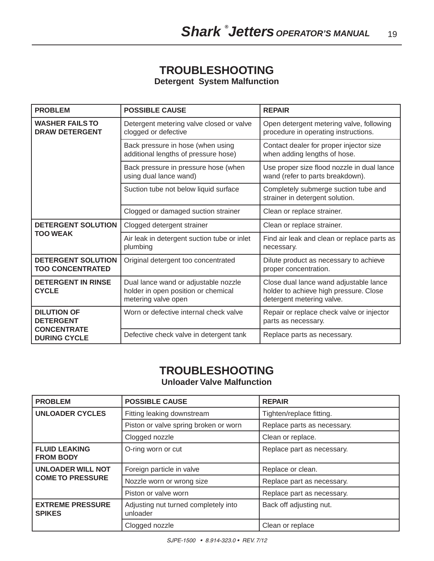# **TROUBLESHOOTING**

**Detergent System Malfunction**

| <b>PROBLEM</b>                                       | <b>POSSIBLE CAUSE</b>                                                                              | <b>REPAIR</b>                                                                                                 |
|------------------------------------------------------|----------------------------------------------------------------------------------------------------|---------------------------------------------------------------------------------------------------------------|
| <b>WASHER FAILS TO</b><br><b>DRAW DETERGENT</b>      | Detergent metering valve closed or valve<br>clogged or defective                                   | Open detergent metering valve, following<br>procedure in operating instructions.                              |
|                                                      | Back pressure in hose (when using<br>additional lengths of pressure hose)                          | Contact dealer for proper injector size<br>when adding lengths of hose.                                       |
|                                                      | Back pressure in pressure hose (when<br>using dual lance wand)                                     | Use proper size flood nozzle in dual lance<br>wand (refer to parts breakdown).                                |
|                                                      | Suction tube not below liquid surface                                                              | Completely submerge suction tube and<br>strainer in detergent solution.                                       |
|                                                      | Clogged or damaged suction strainer                                                                | Clean or replace strainer.                                                                                    |
| <b>DETERGENT SOLUTION</b>                            | Clogged detergent strainer                                                                         | Clean or replace strainer.                                                                                    |
| <b>TOO WEAK</b>                                      | Air leak in detergent suction tube or inlet<br>plumbing                                            | Find air leak and clean or replace parts as<br>necessary.                                                     |
| <b>DETERGENT SOLUTION</b><br><b>TOO CONCENTRATED</b> | Original detergent too concentrated                                                                | Dilute product as necessary to achieve<br>proper concentration.                                               |
| <b>DETERGENT IN RINSE</b><br><b>CYCLE</b>            | Dual lance wand or adjustable nozzle<br>holder in open position or chemical<br>metering valve open | Close dual lance wand adjustable lance<br>holder to achieve high pressure. Close<br>detergent metering valve. |
| <b>DILUTION OF</b><br><b>DETERGENT</b>               | Worn or defective internal check valve                                                             | Repair or replace check valve or injector<br>parts as necessary.                                              |
| <b>CONCENTRATE</b><br><b>DURING CYCLE</b>            | Defective check valve in detergent tank                                                            | Replace parts as necessary.                                                                                   |

# **TROUBLESHOOTING**

**Unloader Valve Malfunction**

| <b>PROBLEM</b>                           | <b>POSSIBLE CAUSE</b>                            | <b>REPAIR</b>               |
|------------------------------------------|--------------------------------------------------|-----------------------------|
| <b>UNLOADER CYCLES</b>                   | Fitting leaking downstream                       | Tighten/replace fitting.    |
|                                          | Piston or valve spring broken or worn            | Replace parts as necessary. |
|                                          | Clogged nozzle                                   | Clean or replace.           |
| <b>FLUID LEAKING</b><br><b>FROM BODY</b> | O-ring worn or cut                               | Replace part as necessary.  |
| <b>UNLOADER WILL NOT</b>                 | Foreign particle in valve                        | Replace or clean.           |
| <b>COME TO PRESSURE</b>                  | Nozzle worn or wrong size                        | Replace part as necessary.  |
|                                          | Piston or valve worn                             | Replace part as necessary.  |
| <b>EXTREME PRESSURE</b><br><b>SPIKES</b> | Adjusting nut turned completely into<br>unloader | Back off adjusting nut.     |
|                                          | Clogged nozzle                                   | Clean or replace            |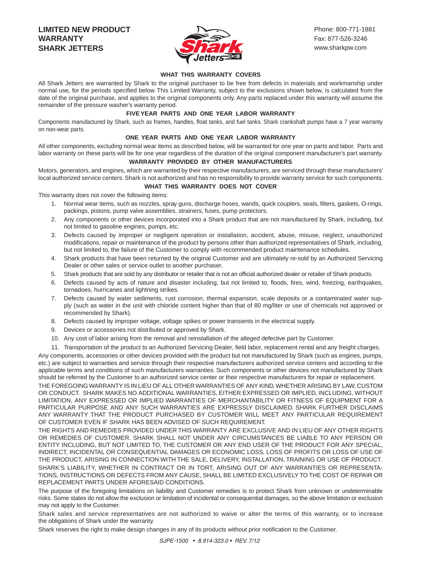#### **LIMITED NEW PRODUCT WARRANTY SHARK JETTERS**



#### **WHAT THIS WARRANTY COVERS**

All Shark Jetters are warranted by Shark to the original purchaser to be free from defects in materials and workmanship under normal use, for the periods specified below. This Limited Warranty, subject to the exclusions shown below, is calculated from the date of the original purchase, and applies to the original components only. Any parts replaced under this warranty will assume the remainder of the pressure washer's warranty period.

#### **FIVE YEAR PARTS AND ONE YEAR LABOR WARRANTY**

Components manufactured by Shark, such as frames, handles, float tanks, and fuel tanks. Shark crankshaft pumps have a 7 year warranty on non-wear parts.

#### **ONE YEAR PARTS AND ONE YEAR LABOR WARRANTY**

All other components, excluding normal wear items as described below, will be warranted for one year on parts and labor. Parts and labor warranty on these parts will be for one year regardless of the duration of the original component manufacturer's part warranty.

#### **WARRANTY PROVIDED BY OTHER MANUFACTURERS**

Motors, generators, and engines, which are warranted by their respective manufacturers, are serviced through these manufacturers' local authorized service centers. Shark is not authorized and has no responsibility to provide warranty service for such components.

#### **WHAT THIS WARRANTY DOES NOT COVER**

This warranty does not cover the following items:

- 1. Normal wear items, such as nozzles, spray guns, discharge hoses, wands, quick couplers, seals, filters, gaskets, O-rings, packings, pistons, pump valve assemblies, strainers, fuses, pump protectors.
- 2. Any components or other devices incorporated into a Shark product that are not manufactured by Shark, including, but not limited to gasoline engines, pumps, etc.
- 3. Defects caused by improper or negligent operation or installation, accident, abuse, misuse, neglect, unauthorized modifications, repair or maintenance of the product by persons other than authorized representatives of Shark, including, but not limited to, the failure of the Customer to comply with recommended product maintenance schedules.
- 4. Shark products that have been returned by the original Customer and are ultimately re-sold by an Authorized Servicing Dealer or other sales or service outlet to another purchaser.
- 5. Shark products that are sold by any distributor or retailer that is not an official authorized dealer or retailer of Shark products.
- 6. Defects caused by acts of nature and disaster including, but not limited to, floods, fires, wind, freezing, earthquakes, tornadoes, hurricanes and lightning strikes.
- 7. Defects caused by water sediments, rust corrosion, thermal expansion, scale deposits or a contaminated water supply (such as water in the unit with chloride content higher than that of 80 mg/liter or use of chemicals not approved or recommended by Shark).
- 8. Defects caused by improper voltage, voltage spikes or power transients in the electrical supply.
- 9. Devices or accessories not distributed or approved by Shark.
- 10. Any cost of labor arising from the removal and reinstallation of the alleged defective part by Customer.
- 11. Transportation of the product to an Authorized Servicing Dealer, field labor, replacement rental and any freight charges.

Any components, accessories or other devices provided with the product but not manufactured by Shark (such as engines, pumps, etc.) are subject to warranties and service through their respective manufacturers authorized service centers and according to the applicable terms and conditions of such manufacturers warranties. Such components or other devices not manufactured by Shark should be referred by the Customer to an authorized service center or their respective manufacturers for repair or replacement.

THE FOREGOING WARRANTY IS IN LIEU OF ALL OTHER WARRANTIES OF ANY KIND, WHETHER ARISING BY LAW, CUSTOM OR CONDUCT. SHARK MAKES NO ADDITIONAL WARRANTIES, EITHER EXPRESSED OR IMPLIED, INCLUDING, WITHOUT LIMITATION, ANY EXPRESSED OR IMPLIED WARRANTIES OF MERCHANTABILITY OR FITNESS OF EQUIPMENT FOR A PARTICULAR PURPOSE AND ANY SUCH WARRANTIES ARE EXPRESSLY DISCLAIMED. SHARK FURTHER DISCLAIMS ANY WARRANTY THAT THE PRODUCT PURCHASED BY CUSTOMER WILL MEET ANY PARTICULAR REQUIREMENT OF CUSTOMER EVEN IF SHARK HAS BEEN ADVISED OF SUCH REQUIREMENT.

THE RIGHTS AND REMEDIES PROVIDED UNDER THIS WARRANTY ARE EXCLUSIVE AND IN LIEU OF ANY OTHER RIGHTS OR REMEDIES OF CUSTOMER. SHARK SHALL NOT UNDER ANY CIRCUMSTANCES BE LIABLE TO ANY PERSON OR ENTITY INCLUDING, BUT NOT LIMITED TO, THE CUSTOMER OR ANY END USER OF THE PRODUCT FOR ANY SPECIAL, INDIRECT, INCIDENTAL OR CONSEQUENTIAL DAMAGES OR ECONOMIC LOSS, LOSS OF PROFITS OR LOSS OF USE OF THE PRODUCT, ARISING IN CONNECTION WITH THE SALE, DELIVERY, INSTALLATION, TRAINING OR USE OF PRODUCT. SHARK'S LIABILITY, WHETHER IN CONTRACT OR IN TORT, ARISING OUT OF ANY WARRANTIES OR REPRESENTA-TIONS, INSTRUCTIONS OR DEFECTS FROM ANY CAUSE, SHALL BE LIMITED EXCLUSIVELY TO THE COST OF REPAIR OR REPLACEMENT PARTS UNDER AFORESAID CONDITIONS.

The purpose of the foregoing limitations on liability and Customer remedies is to protect Shark from unknown or undeterminable risks. Some states do not allow the exclusion or limitation of incidental or consequential damages, so the above limitation or exclusion may not apply to the Customer.

Shark sales and service representatives are not authorized to waive or alter the terms of this warranty, or to increase the obligations of Shark under the warranty.

Shark reserves the right to make design changes in any of its products without prior notification to the Customer.